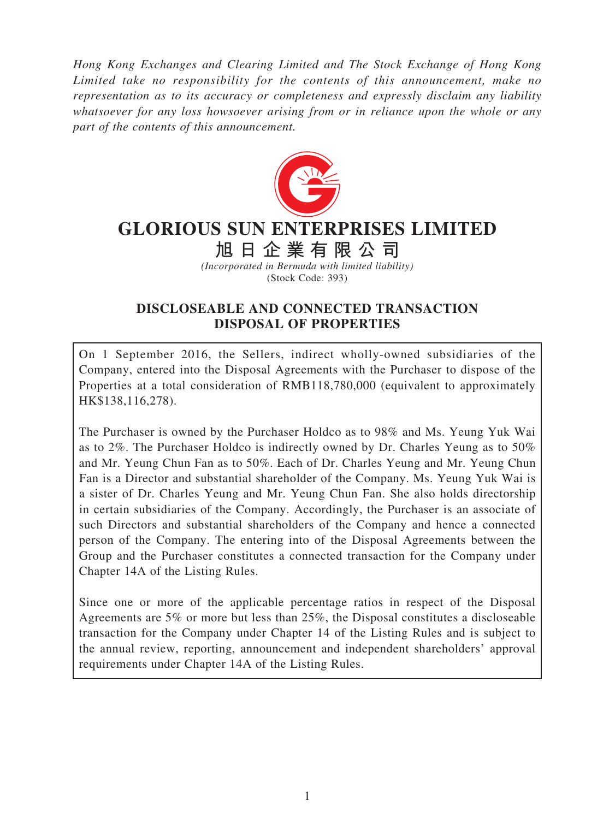*Hong Kong Exchanges and Clearing Limited and The Stock Exchange of Hong Kong Limited take no responsibility for the contents of this announcement, make no representation as to its accuracy or completeness and expressly disclaim any liability whatsoever for any loss howsoever arising from or in reliance upon the whole or any part of the contents of this announcement.*



# **GLORIOUS SUN ENTERPRISES LIMITED**

**旭日企業有限公司**

*(Incorporated in Bermuda with limited liability)* (Stock Code: 393)

# **DISCLOSEABLE AND CONNECTED TRANSACTION DISPOSAL OF PROPERTIES**

On 1 September 2016, the Sellers, indirect wholly-owned subsidiaries of the Company, entered into the Disposal Agreements with the Purchaser to dispose of the Properties at a total consideration of RMB118,780,000 (equivalent to approximately HK\$138,116,278).

The Purchaser is owned by the Purchaser Holdco as to 98% and Ms. Yeung Yuk Wai as to 2%. The Purchaser Holdco is indirectly owned by Dr. Charles Yeung as to 50% and Mr. Yeung Chun Fan as to 50%. Each of Dr. Charles Yeung and Mr. Yeung Chun Fan is a Director and substantial shareholder of the Company. Ms. Yeung Yuk Wai is a sister of Dr. Charles Yeung and Mr. Yeung Chun Fan. She also holds directorship in certain subsidiaries of the Company. Accordingly, the Purchaser is an associate of such Directors and substantial shareholders of the Company and hence a connected person of the Company. The entering into of the Disposal Agreements between the Group and the Purchaser constitutes a connected transaction for the Company under Chapter 14A of the Listing Rules.

Since one or more of the applicable percentage ratios in respect of the Disposal Agreements are 5% or more but less than 25%, the Disposal constitutes a discloseable transaction for the Company under Chapter 14 of the Listing Rules and is subject to the annual review, reporting, announcement and independent shareholders' approval requirements under Chapter 14A of the Listing Rules.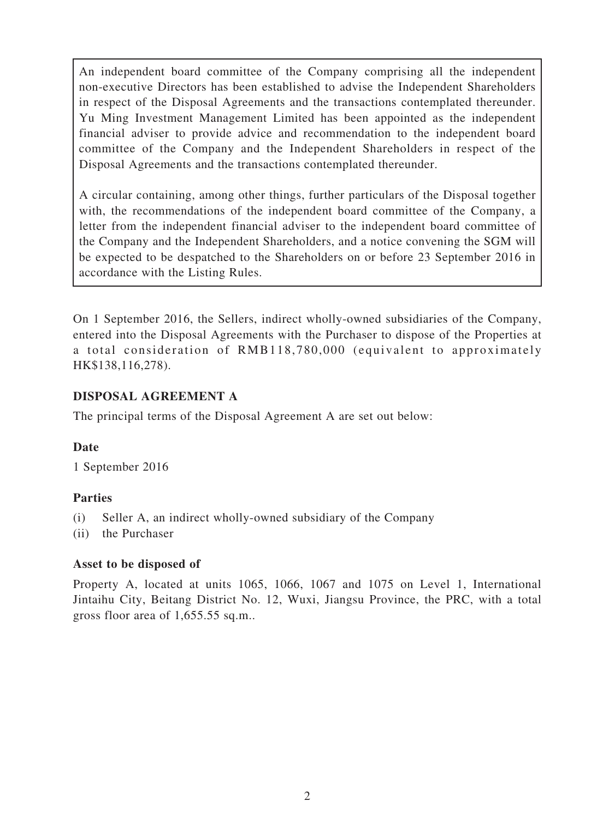An independent board committee of the Company comprising all the independent non-executive Directors has been established to advise the Independent Shareholders in respect of the Disposal Agreements and the transactions contemplated thereunder. Yu Ming Investment Management Limited has been appointed as the independent financial adviser to provide advice and recommendation to the independent board committee of the Company and the Independent Shareholders in respect of the Disposal Agreements and the transactions contemplated thereunder.

A circular containing, among other things, further particulars of the Disposal together with, the recommendations of the independent board committee of the Company, a letter from the independent financial adviser to the independent board committee of the Company and the Independent Shareholders, and a notice convening the SGM will be expected to be despatched to the Shareholders on or before 23 September 2016 in accordance with the Listing Rules.

On 1 September 2016, the Sellers, indirect wholly-owned subsidiaries of the Company, entered into the Disposal Agreements with the Purchaser to dispose of the Properties at a total consideration of RMB118,780,000 (equivalent to approximately HK\$138,116,278).

## **DISPOSAL AGREEMENT A**

The principal terms of the Disposal Agreement A are set out below:

#### **Date**

1 September 2016

# **Parties**

- (i) Seller A, an indirect wholly-owned subsidiary of the Company
- (ii) the Purchaser

#### **Asset to be disposed of**

Property A, located at units 1065, 1066, 1067 and 1075 on Level 1, International Jintaihu City, Beitang District No. 12, Wuxi, Jiangsu Province, the PRC, with a total gross floor area of 1,655.55 sq.m..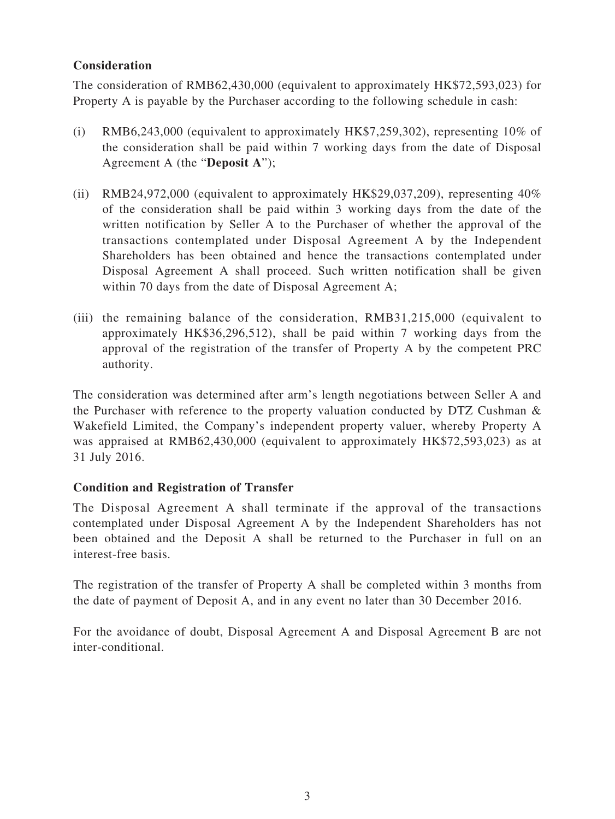#### **Consideration**

The consideration of RMB62,430,000 (equivalent to approximately HK\$72,593,023) for Property A is payable by the Purchaser according to the following schedule in cash:

- (i) RMB6,243,000 (equivalent to approximately HK\$7,259,302), representing 10% of the consideration shall be paid within 7 working days from the date of Disposal Agreement A (the "**Deposit A**");
- (ii) RMB24,972,000 (equivalent to approximately HK\$29,037,209), representing  $40\%$ of the consideration shall be paid within 3 working days from the date of the written notification by Seller A to the Purchaser of whether the approval of the transactions contemplated under Disposal Agreement A by the Independent Shareholders has been obtained and hence the transactions contemplated under Disposal Agreement A shall proceed. Such written notification shall be given within 70 days from the date of Disposal Agreement A;
- (iii) the remaining balance of the consideration, RMB31,215,000 (equivalent to approximately HK\$36,296,512), shall be paid within 7 working days from the approval of the registration of the transfer of Property A by the competent PRC authority.

The consideration was determined after arm's length negotiations between Seller A and the Purchaser with reference to the property valuation conducted by DTZ Cushman & Wakefield Limited, the Company's independent property valuer, whereby Property A was appraised at RMB62,430,000 (equivalent to approximately HK\$72,593,023) as at 31 July 2016.

# **Condition and Registration of Transfer**

The Disposal Agreement A shall terminate if the approval of the transactions contemplated under Disposal Agreement A by the Independent Shareholders has not been obtained and the Deposit A shall be returned to the Purchaser in full on an interest-free basis.

The registration of the transfer of Property A shall be completed within 3 months from the date of payment of Deposit A, and in any event no later than 30 December 2016.

For the avoidance of doubt, Disposal Agreement A and Disposal Agreement B are not inter-conditional.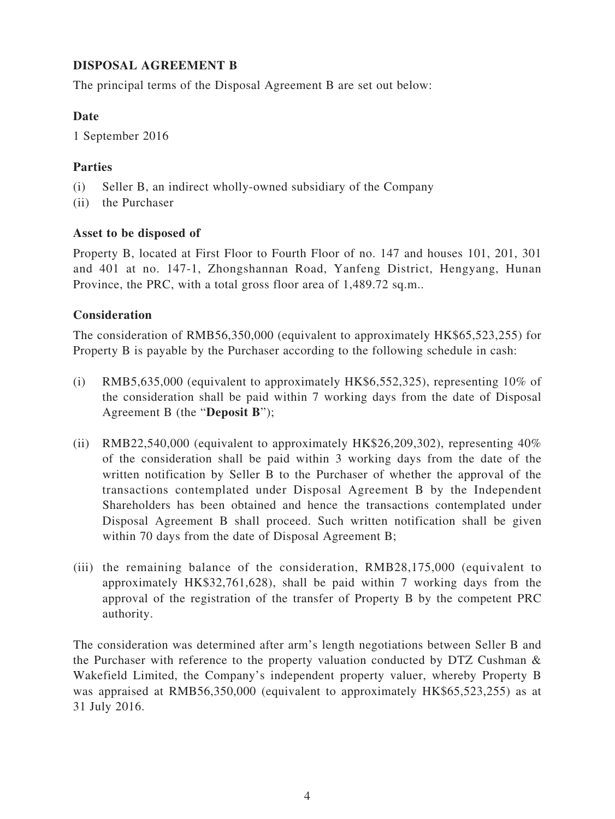## **DISPOSAL AGREEMENT B**

The principal terms of the Disposal Agreement B are set out below:

#### **Date**

1 September 2016

## **Parties**

- (i) Seller B, an indirect wholly-owned subsidiary of the Company
- (ii) the Purchaser

#### **Asset to be disposed of**

Property B, located at First Floor to Fourth Floor of no. 147 and houses 101, 201, 301 and 401 at no. 147-1, Zhongshannan Road, Yanfeng District, Hengyang, Hunan Province, the PRC, with a total gross floor area of 1,489.72 sq.m..

#### **Consideration**

The consideration of RMB56,350,000 (equivalent to approximately HK\$65,523,255) for Property B is payable by the Purchaser according to the following schedule in cash:

- (i) RMB5,635,000 (equivalent to approximately HK\$6,552,325), representing 10% of the consideration shall be paid within 7 working days from the date of Disposal Agreement B (the "**Deposit B**");
- (ii) RMB22,540,000 (equivalent to approximately HK\$26,209,302), representing  $40\%$ of the consideration shall be paid within 3 working days from the date of the written notification by Seller B to the Purchaser of whether the approval of the transactions contemplated under Disposal Agreement B by the Independent Shareholders has been obtained and hence the transactions contemplated under Disposal Agreement B shall proceed. Such written notification shall be given within 70 days from the date of Disposal Agreement B;
- (iii) the remaining balance of the consideration, RMB28,175,000 (equivalent to approximately HK\$32,761,628), shall be paid within 7 working days from the approval of the registration of the transfer of Property B by the competent PRC authority.

The consideration was determined after arm's length negotiations between Seller B and the Purchaser with reference to the property valuation conducted by DTZ Cushman & Wakefield Limited, the Company's independent property valuer, whereby Property B was appraised at RMB56,350,000 (equivalent to approximately HK\$65,523,255) as at 31 July 2016.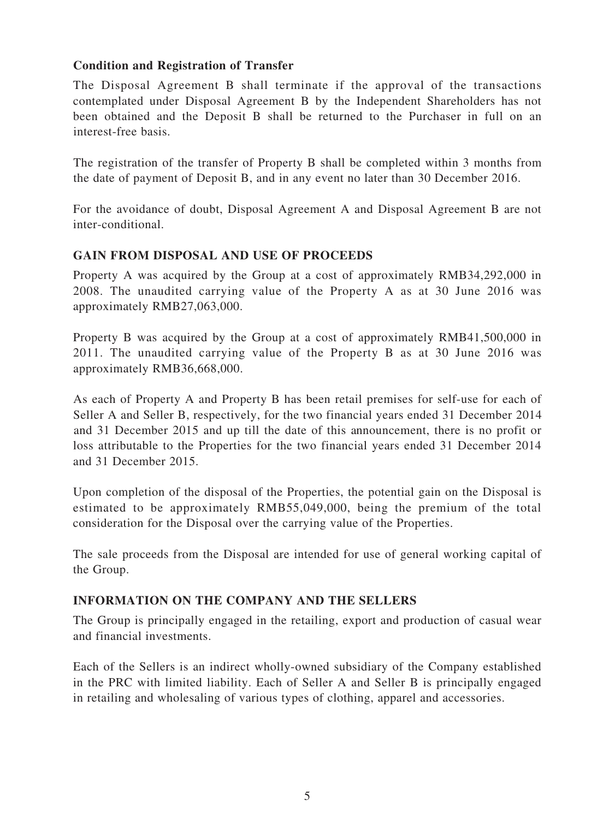#### **Condition and Registration of Transfer**

The Disposal Agreement B shall terminate if the approval of the transactions contemplated under Disposal Agreement B by the Independent Shareholders has not been obtained and the Deposit B shall be returned to the Purchaser in full on an interest-free basis.

The registration of the transfer of Property B shall be completed within 3 months from the date of payment of Deposit B, and in any event no later than 30 December 2016.

For the avoidance of doubt, Disposal Agreement A and Disposal Agreement B are not inter-conditional.

#### **GAIN FROM DISPOSAL AND USE OF PROCEEDS**

Property A was acquired by the Group at a cost of approximately RMB34,292,000 in 2008. The unaudited carrying value of the Property A as at 30 June 2016 was approximately RMB27,063,000.

Property B was acquired by the Group at a cost of approximately RMB41,500,000 in 2011. The unaudited carrying value of the Property B as at 30 June 2016 was approximately RMB36,668,000.

As each of Property A and Property B has been retail premises for self-use for each of Seller A and Seller B, respectively, for the two financial years ended 31 December 2014 and 31 December 2015 and up till the date of this announcement, there is no profit or loss attributable to the Properties for the two financial years ended 31 December 2014 and 31 December 2015.

Upon completion of the disposal of the Properties, the potential gain on the Disposal is estimated to be approximately RMB55,049,000, being the premium of the total consideration for the Disposal over the carrying value of the Properties.

The sale proceeds from the Disposal are intended for use of general working capital of the Group.

## **INFORMATION ON THE COMPANY AND THE SELLERS**

The Group is principally engaged in the retailing, export and production of casual wear and financial investments.

Each of the Sellers is an indirect wholly-owned subsidiary of the Company established in the PRC with limited liability. Each of Seller A and Seller B is principally engaged in retailing and wholesaling of various types of clothing, apparel and accessories.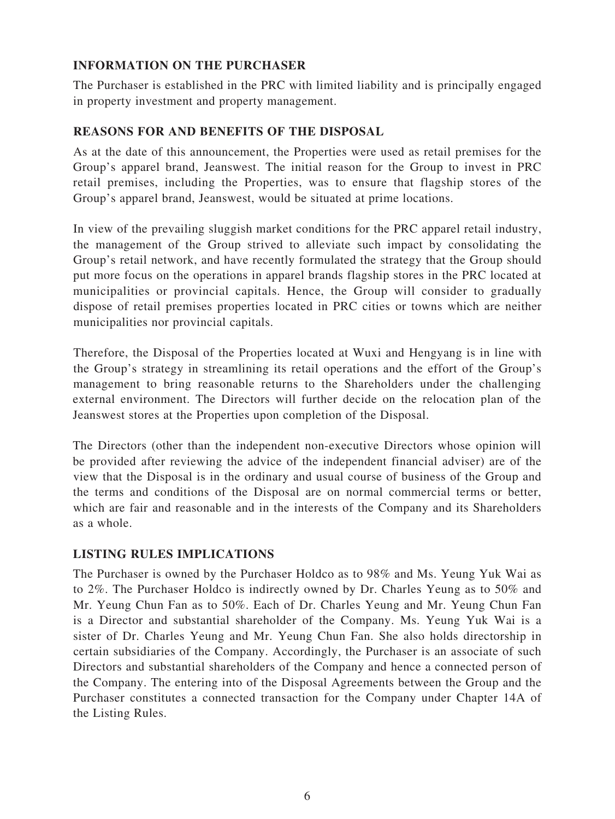## **INFORMATION ON THE PURCHASER**

The Purchaser is established in the PRC with limited liability and is principally engaged in property investment and property management.

# **REASONS FOR AND BENEFITS OF THE DISPOSAL**

As at the date of this announcement, the Properties were used as retail premises for the Group's apparel brand, Jeanswest. The initial reason for the Group to invest in PRC retail premises, including the Properties, was to ensure that flagship stores of the Group's apparel brand, Jeanswest, would be situated at prime locations.

In view of the prevailing sluggish market conditions for the PRC apparel retail industry, the management of the Group strived to alleviate such impact by consolidating the Group's retail network, and have recently formulated the strategy that the Group should put more focus on the operations in apparel brands flagship stores in the PRC located at municipalities or provincial capitals. Hence, the Group will consider to gradually dispose of retail premises properties located in PRC cities or towns which are neither municipalities nor provincial capitals.

Therefore, the Disposal of the Properties located at Wuxi and Hengyang is in line with the Group's strategy in streamlining its retail operations and the effort of the Group's management to bring reasonable returns to the Shareholders under the challenging external environment. The Directors will further decide on the relocation plan of the Jeanswest stores at the Properties upon completion of the Disposal.

The Directors (other than the independent non-executive Directors whose opinion will be provided after reviewing the advice of the independent financial adviser) are of the view that the Disposal is in the ordinary and usual course of business of the Group and the terms and conditions of the Disposal are on normal commercial terms or better, which are fair and reasonable and in the interests of the Company and its Shareholders as a whole.

#### **LISTING RULES IMPLICATIONS**

The Purchaser is owned by the Purchaser Holdco as to 98% and Ms. Yeung Yuk Wai as to 2%. The Purchaser Holdco is indirectly owned by Dr. Charles Yeung as to 50% and Mr. Yeung Chun Fan as to 50%. Each of Dr. Charles Yeung and Mr. Yeung Chun Fan is a Director and substantial shareholder of the Company. Ms. Yeung Yuk Wai is a sister of Dr. Charles Yeung and Mr. Yeung Chun Fan. She also holds directorship in certain subsidiaries of the Company. Accordingly, the Purchaser is an associate of such Directors and substantial shareholders of the Company and hence a connected person of the Company. The entering into of the Disposal Agreements between the Group and the Purchaser constitutes a connected transaction for the Company under Chapter 14A of the Listing Rules.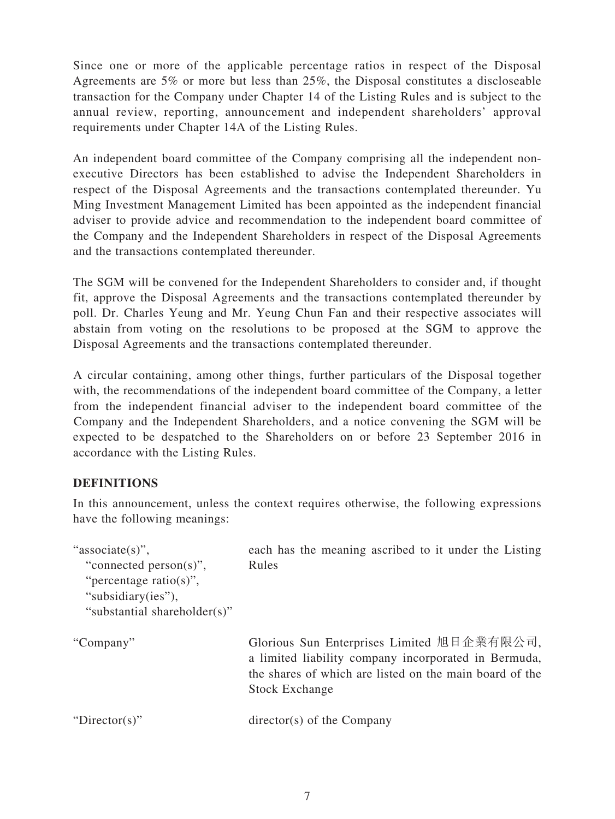Since one or more of the applicable percentage ratios in respect of the Disposal Agreements are 5% or more but less than 25%, the Disposal constitutes a discloseable transaction for the Company under Chapter 14 of the Listing Rules and is subject to the annual review, reporting, announcement and independent shareholders' approval requirements under Chapter 14A of the Listing Rules.

An independent board committee of the Company comprising all the independent nonexecutive Directors has been established to advise the Independent Shareholders in respect of the Disposal Agreements and the transactions contemplated thereunder. Yu Ming Investment Management Limited has been appointed as the independent financial adviser to provide advice and recommendation to the independent board committee of the Company and the Independent Shareholders in respect of the Disposal Agreements and the transactions contemplated thereunder.

The SGM will be convened for the Independent Shareholders to consider and, if thought fit, approve the Disposal Agreements and the transactions contemplated thereunder by poll. Dr. Charles Yeung and Mr. Yeung Chun Fan and their respective associates will abstain from voting on the resolutions to be proposed at the SGM to approve the Disposal Agreements and the transactions contemplated thereunder.

A circular containing, among other things, further particulars of the Disposal together with, the recommendations of the independent board committee of the Company, a letter from the independent financial adviser to the independent board committee of the Company and the Independent Shareholders, and a notice convening the SGM will be expected to be despatched to the Shareholders on or before 23 September 2016 in accordance with the Listing Rules.

#### **DEFINITIONS**

In this announcement, unless the context requires otherwise, the following expressions have the following meanings:

| "associate(s)",<br>"connected person(s)",<br>"percentage ratio(s)",<br>"subsidiary(ies"),<br>"substantial shareholder(s)" | each has the meaning ascribed to it under the Listing<br>Rules                                                                                                                         |
|---------------------------------------------------------------------------------------------------------------------------|----------------------------------------------------------------------------------------------------------------------------------------------------------------------------------------|
| "Company"                                                                                                                 | Glorious Sun Enterprises Limited 旭日企業有限公司,<br>a limited liability company incorporated in Bermuda,<br>the shares of which are listed on the main board of the<br><b>Stock Exchange</b> |
| "Director(s)"                                                                                                             | $\text{directory}(s)$ of the Company                                                                                                                                                   |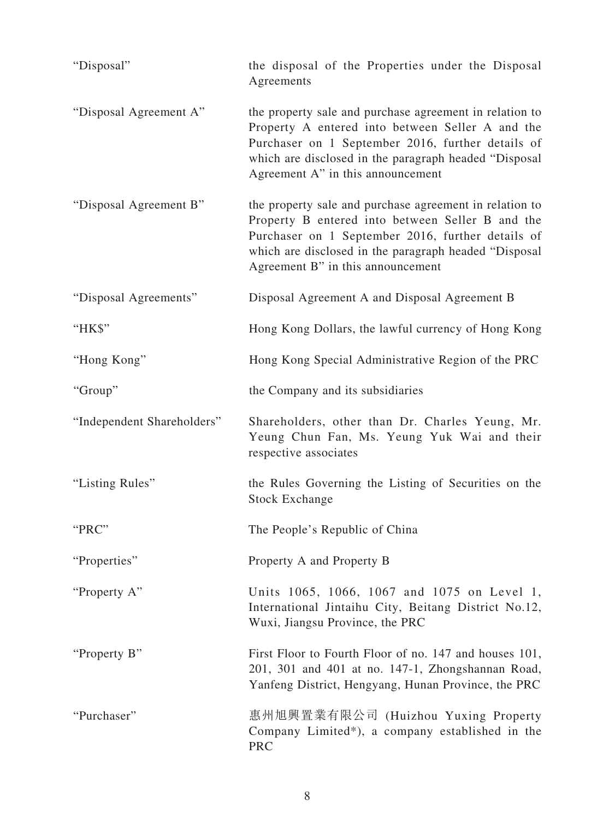| "Disposal"                 | the disposal of the Properties under the Disposal<br>Agreements                                                                                                                                                                                                |
|----------------------------|----------------------------------------------------------------------------------------------------------------------------------------------------------------------------------------------------------------------------------------------------------------|
| "Disposal Agreement A"     | the property sale and purchase agreement in relation to<br>Property A entered into between Seller A and the<br>Purchaser on 1 September 2016, further details of<br>which are disclosed in the paragraph headed "Disposal<br>Agreement A" in this announcement |
| "Disposal Agreement B"     | the property sale and purchase agreement in relation to<br>Property B entered into between Seller B and the<br>Purchaser on 1 September 2016, further details of<br>which are disclosed in the paragraph headed "Disposal<br>Agreement B" in this announcement |
| "Disposal Agreements"      | Disposal Agreement A and Disposal Agreement B                                                                                                                                                                                                                  |
| "HK\$"                     | Hong Kong Dollars, the lawful currency of Hong Kong                                                                                                                                                                                                            |
| "Hong Kong"                | Hong Kong Special Administrative Region of the PRC                                                                                                                                                                                                             |
| "Group"                    | the Company and its subsidiaries                                                                                                                                                                                                                               |
| "Independent Shareholders" | Shareholders, other than Dr. Charles Yeung, Mr.<br>Yeung Chun Fan, Ms. Yeung Yuk Wai and their<br>respective associates                                                                                                                                        |
| "Listing Rules"            | the Rules Governing the Listing of Securities on the<br><b>Stock Exchange</b>                                                                                                                                                                                  |
| "PRC"                      | The People's Republic of China                                                                                                                                                                                                                                 |
| "Properties"               | Property A and Property B                                                                                                                                                                                                                                      |
| "Property A"               | Units 1065, 1066, 1067 and 1075 on Level 1,<br>International Jintaihu City, Beitang District No.12,<br>Wuxi, Jiangsu Province, the PRC                                                                                                                         |
| "Property B"               | First Floor to Fourth Floor of no. 147 and houses 101,<br>201, 301 and 401 at no. 147-1, Zhongshannan Road,<br>Yanfeng District, Hengyang, Hunan Province, the PRC                                                                                             |
| "Purchaser"                | 惠州旭興置業有限公司 (Huizhou Yuxing Property<br>Company Limited*), a company established in the<br><b>PRC</b>                                                                                                                                                           |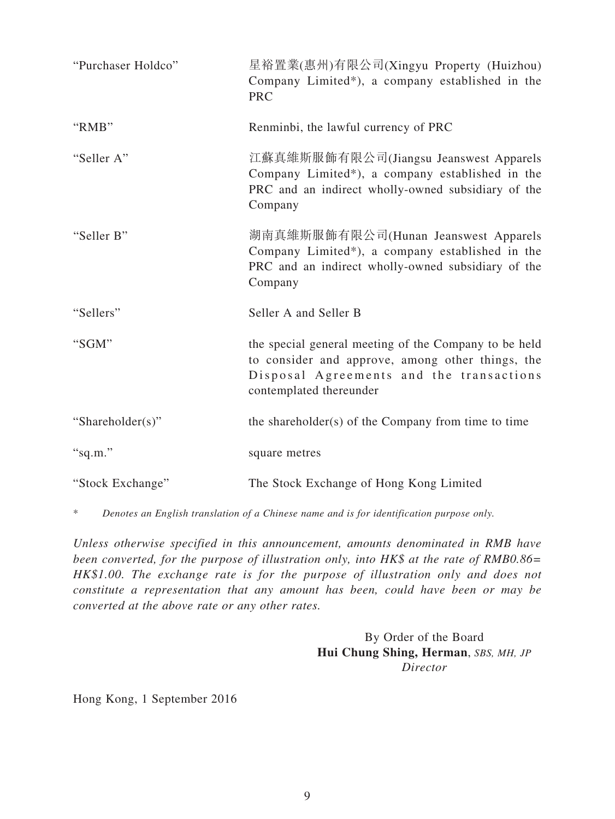| "Purchaser Holdco" | 星裕置業(惠州)有限公司(Xingyu Property (Huizhou)<br>Company Limited*), a company established in the<br><b>PRC</b>                                                                          |
|--------------------|----------------------------------------------------------------------------------------------------------------------------------------------------------------------------------|
| "RMB"              | Renminbi, the lawful currency of PRC                                                                                                                                             |
| "Seller A"         | 江蘇真維斯服飾有限公司(Jiangsu Jeanswest Apparels<br>Company Limited*), a company established in the<br>PRC and an indirect wholly-owned subsidiary of the<br>Company                       |
| "Seller B"         | 湖南真維斯服飾有限公司(Hunan Jeanswest Apparels<br>Company Limited*), a company established in the<br>PRC and an indirect wholly-owned subsidiary of the<br>Company                         |
| "Sellers"          | Seller A and Seller B                                                                                                                                                            |
| "SGM"              | the special general meeting of the Company to be held<br>to consider and approve, among other things, the<br>Disposal Agreements and the transactions<br>contemplated thereunder |
| "Shareholder(s)"   | the shareholder(s) of the Company from time to time                                                                                                                              |
| "sq.m."            | square metres                                                                                                                                                                    |
| "Stock Exchange"   | The Stock Exchange of Hong Kong Limited                                                                                                                                          |

\* *Denotes an English translation of a Chinese name and is for identification purpose only.*

*Unless otherwise specified in this announcement, amounts denominated in RMB have been converted, for the purpose of illustration only, into HK\$ at the rate of RMB0.86= HK\$1.00. The exchange rate is for the purpose of illustration only and does not constitute a representation that any amount has been, could have been or may be converted at the above rate or any other rates.*

> By Order of the Board **Hui Chung Shing, Herman**, *SBS, MH, JP Director*

Hong Kong, 1 September 2016